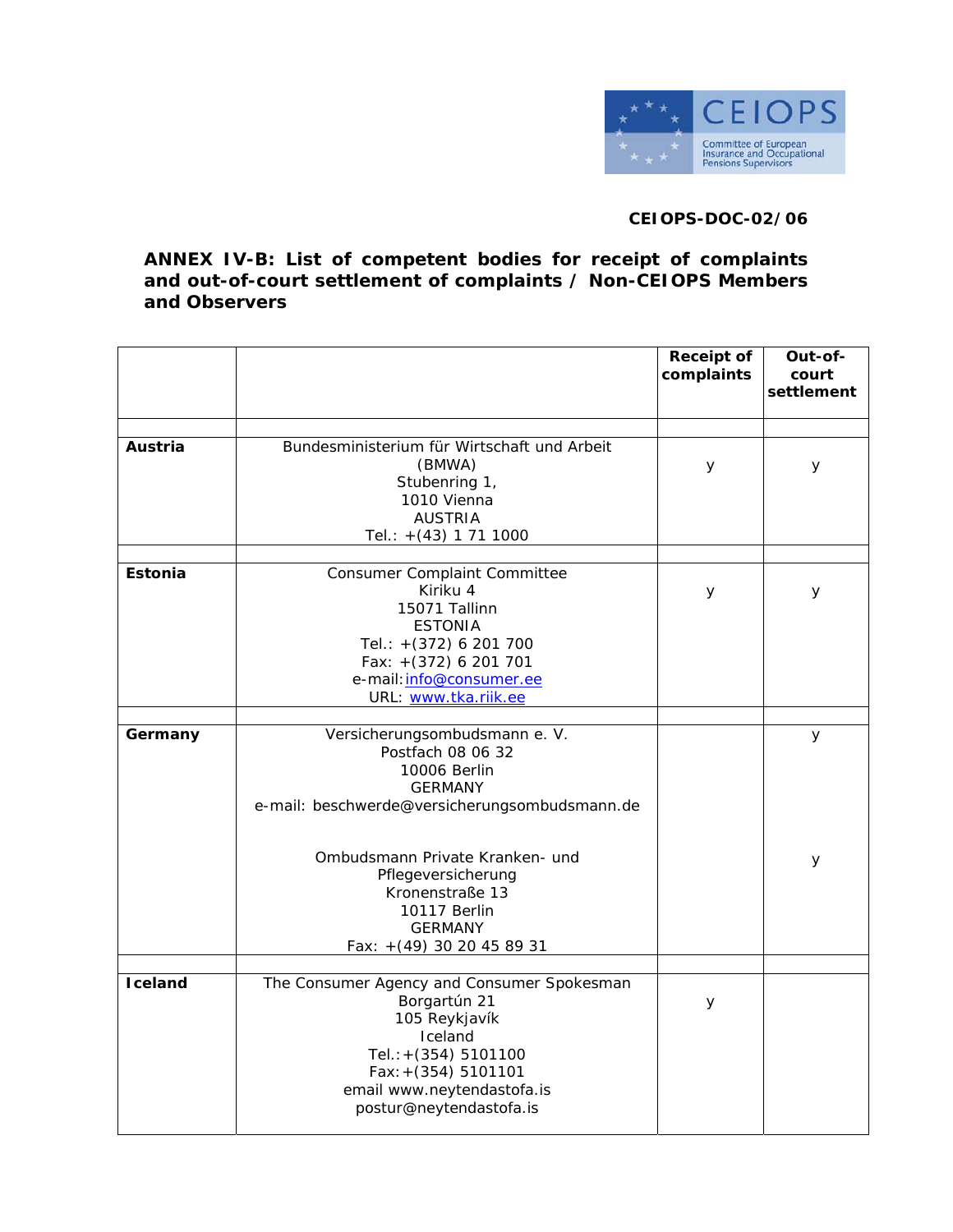

## **CEIOPS-DOC-02/06**

**ANNEX IV-B: List of competent bodies for receipt of complaints and out-of-court settlement of complaints / Non-CEIOPS Members and Observers** 

|                |                                                                                                                                                                                                   | <b>Receipt of</b><br>complaints | Out-of-<br>court<br>settlement |
|----------------|---------------------------------------------------------------------------------------------------------------------------------------------------------------------------------------------------|---------------------------------|--------------------------------|
|                |                                                                                                                                                                                                   |                                 |                                |
| Austria        | Bundesministerium für Wirtschaft und Arbeit<br>(BMWA)<br>Stubenring 1,<br>1010 Vienna<br><b>AUSTRIA</b><br>Tel.: $+(43)$ 1 71 1000                                                                | У                               | У                              |
| <b>Estonia</b> | Consumer Complaint Committee<br>Kiriku 4<br>15071 Tallinn<br><b>ESTONIA</b><br>Tel.: +(372) 6 201 700<br>Fax: +(372) 6 201 701<br>e-mail: info@consumer.ee<br>URL: www.tka.riik.ee                | y                               | У                              |
| Germany        | Versicherungsombudsmann e. V.<br>Postfach 08 06 32<br>10006 Berlin<br><b>GERMANY</b><br>e-mail: beschwerde@versicherungsombudsmann.de                                                             |                                 | У                              |
|                | Ombudsmann Private Kranken- und<br>Pflegeversicherung<br>Kronenstraße 13<br>10117 Berlin<br><b>GERMANY</b><br>Fax: +(49) 30 20 45 89 31                                                           |                                 | У                              |
|                |                                                                                                                                                                                                   |                                 |                                |
| Iceland        | The Consumer Agency and Consumer Spokesman<br>Borgartún 21<br>105 Reykjavík<br>Iceland<br>Tel.: +(354) 5101100<br>$Fax: + (354) 5101101$<br>email www.neytendastofa.is<br>postur@neytendastofa.is | У                               |                                |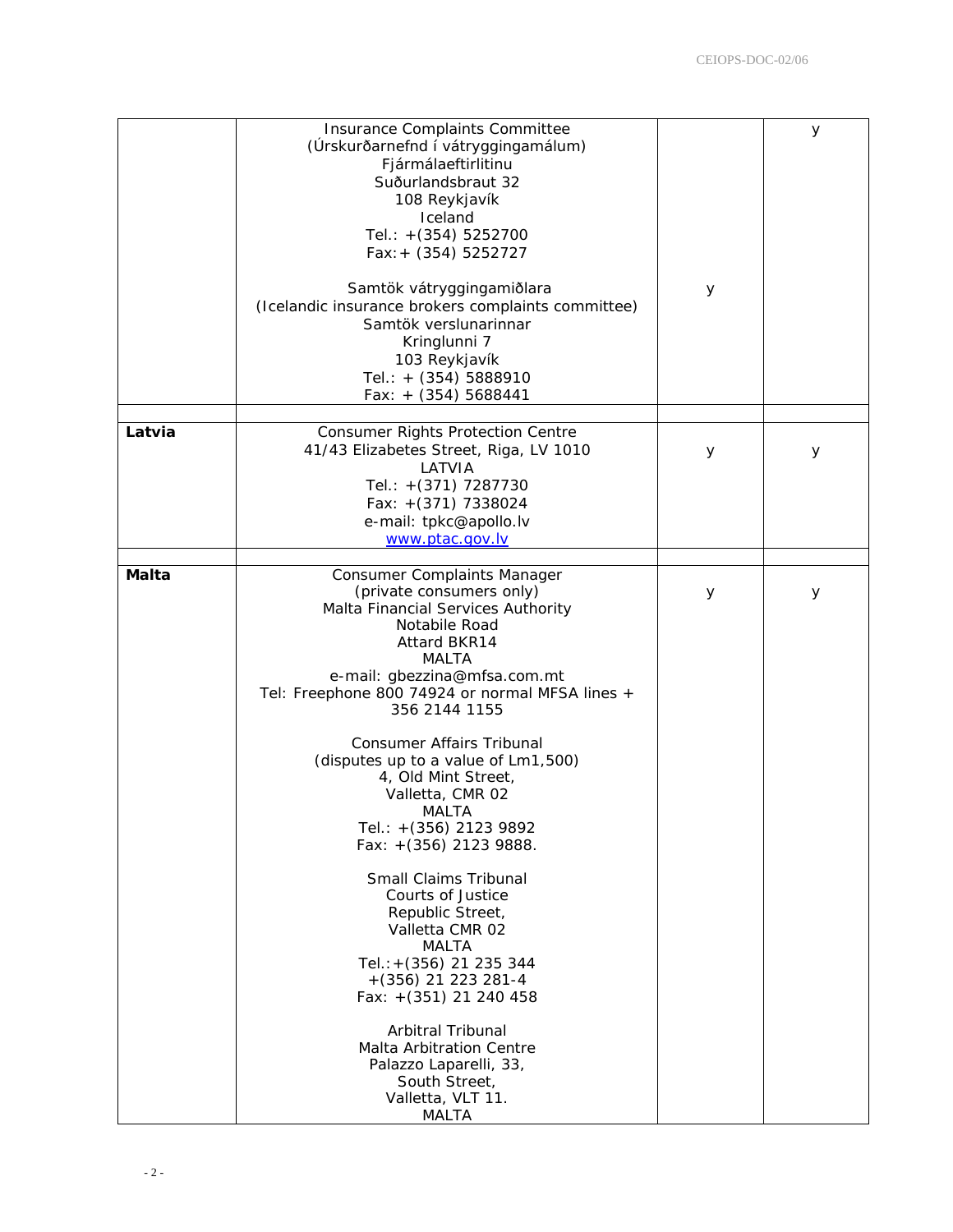|              | Insurance Complaints Committee<br>(Úrskurðarnefnd í vátryggingamálum)<br>Fjármálaeftirlitinu<br>Suðurlandsbraut 32<br>108 Reykjavík<br>Iceland<br>Tel.: +(354) 5252700<br>$Fax: + (354) 5252727$                                                   |   | У |
|--------------|----------------------------------------------------------------------------------------------------------------------------------------------------------------------------------------------------------------------------------------------------|---|---|
|              | Samtök vátryggingamiðlara<br>(Icelandic insurance brokers complaints committee)<br>Samtök verslunarinnar<br>Kringlunni 7<br>103 Reykjavík<br>Tel.: + (354) 5888910<br>Fax: $+$ (354) 5688441                                                       | У |   |
| Latvia       | <b>Consumer Rights Protection Centre</b><br>41/43 Elizabetes Street, Riga, LV 1010<br>LATVIA<br>Tel.: +(371) 7287730<br>Fax: $+(371)$ 7338024<br>e-mail: tpkc@apollo.lv<br>www.ptac.gov.lv                                                         | У | У |
| <b>Malta</b> | Consumer Complaints Manager<br>(private consumers only)<br>Malta Financial Services Authority<br>Notabile Road<br><b>Attard BKR14</b><br>MALTA<br>e-mail: gbezzina@mfsa.com.mt<br>Tel: Freephone 800 74924 or normal MFSA lines +<br>356 2144 1155 | У | У |
|              | Consumer Affairs Tribunal<br>(disputes up to a value of Lm1,500)<br>4, Old Mint Street,<br>Valletta, CMR 02<br>MALTA<br>Tel.: +(356) 2123 9892<br>Fax: +(356) 2123 9888.                                                                           |   |   |
|              | Small Claims Tribunal<br>Courts of Justice<br>Republic Street,<br>Valletta CMR 02<br>MALTA<br>Tel.: + (356) 21 235 344<br>$+(356)$ 21 223 281-4<br>Fax: +(351) 21 240 458                                                                          |   |   |
|              | Arbitral Tribunal<br>Malta Arbitration Centre<br>Palazzo Laparelli, 33,<br>South Street,<br>Valletta, VLT 11.<br>MALTA                                                                                                                             |   |   |